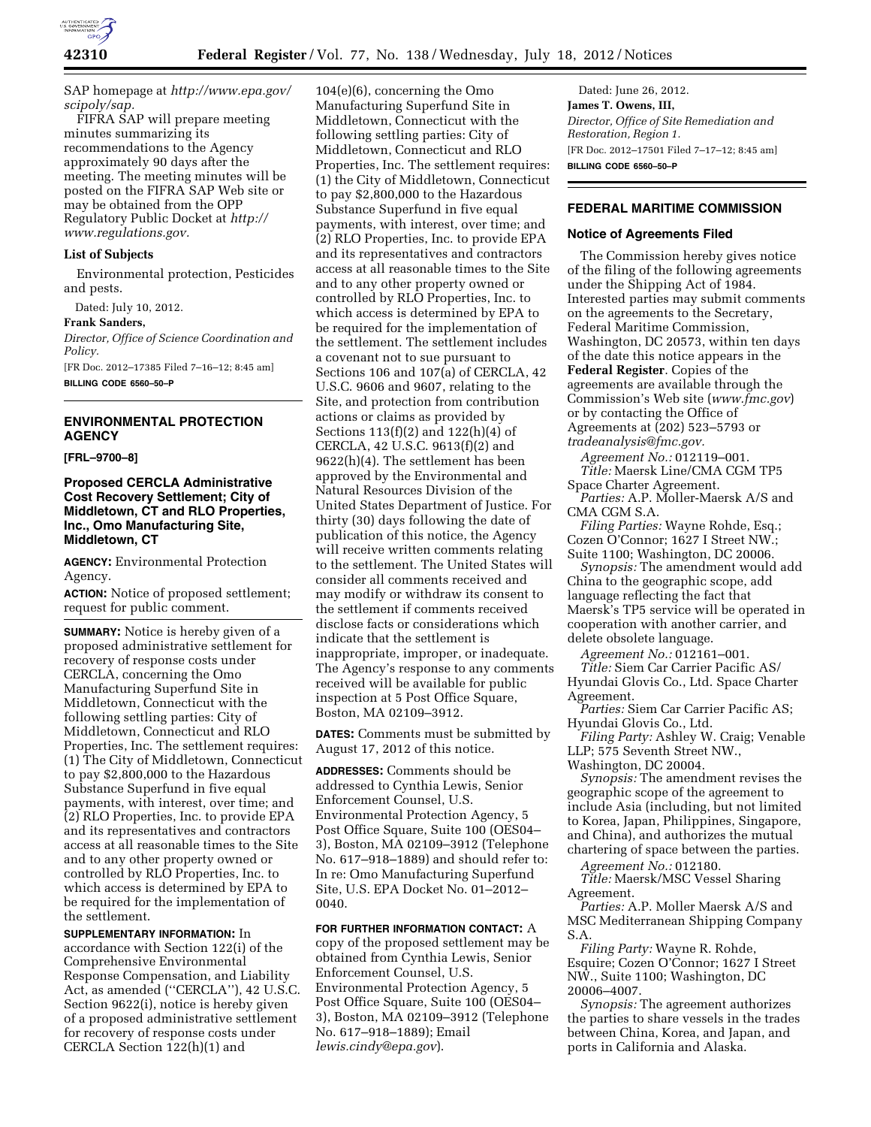

SAP homepage at *[http://www.epa.gov/](http://www.epa.gov/scipoly/sap)  [scipoly/sap.](http://www.epa.gov/scipoly/sap)* 

FIFRA SAP will prepare meeting minutes summarizing its recommendations to the Agency approximately 90 days after the meeting. The meeting minutes will be posted on the FIFRA SAP Web site or may be obtained from the OPP Regulatory Public Docket at *[http://](http://www.regulations.gov) [www.regulations.gov.](http://www.regulations.gov)* 

#### **List of Subjects**

Environmental protection, Pesticides and pests.

Dated: July 10, 2012.

**Frank Sanders,** 

*Director, Office of Science Coordination and Policy.* 

[FR Doc. 2012–17385 Filed 7–16–12; 8:45 am] **BILLING CODE 6560–50–P** 

### **ENVIRONMENTAL PROTECTION AGENCY**

**[FRL–9700–8]** 

## **Proposed CERCLA Administrative Cost Recovery Settlement; City of Middletown, CT and RLO Properties, Inc., Omo Manufacturing Site, Middletown, CT**

**AGENCY:** Environmental Protection Agency.

**ACTION:** Notice of proposed settlement; request for public comment.

**SUMMARY:** Notice is hereby given of a proposed administrative settlement for recovery of response costs under CERCLA, concerning the Omo Manufacturing Superfund Site in Middletown, Connecticut with the following settling parties: City of Middletown, Connecticut and RLO Properties, Inc. The settlement requires: (1) The City of Middletown, Connecticut to pay \$2,800,000 to the Hazardous Substance Superfund in five equal payments, with interest, over time; and (2) RLO Properties, Inc. to provide EPA and its representatives and contractors access at all reasonable times to the Site and to any other property owned or controlled by RLO Properties, Inc. to which access is determined by EPA to be required for the implementation of the settlement.

**SUPPLEMENTARY INFORMATION:** In accordance with Section 122(i) of the Comprehensive Environmental Response Compensation, and Liability Act, as amended (''CERCLA''), 42 U.S.C. Section 9622(i), notice is hereby given of a proposed administrative settlement for recovery of response costs under CERCLA Section 122(h)(1) and

104(e)(6), concerning the Omo Manufacturing Superfund Site in Middletown, Connecticut with the following settling parties: City of Middletown, Connecticut and RLO Properties, Inc. The settlement requires: (1) the City of Middletown, Connecticut to pay \$2,800,000 to the Hazardous Substance Superfund in five equal payments, with interest, over time; and (2) RLO Properties, Inc. to provide EPA and its representatives and contractors access at all reasonable times to the Site and to any other property owned or controlled by RLO Properties, Inc. to which access is determined by EPA to be required for the implementation of the settlement. The settlement includes a covenant not to sue pursuant to Sections 106 and 107(a) of CERCLA, 42 U.S.C. 9606 and 9607, relating to the Site, and protection from contribution actions or claims as provided by Sections 113(f)(2) and 122(h)(4) of CERCLA, 42 U.S.C. 9613(f)(2) and 9622(h)(4). The settlement has been approved by the Environmental and Natural Resources Division of the United States Department of Justice. For thirty (30) days following the date of publication of this notice, the Agency will receive written comments relating to the settlement. The United States will consider all comments received and may modify or withdraw its consent to the settlement if comments received disclose facts or considerations which indicate that the settlement is inappropriate, improper, or inadequate. The Agency's response to any comments received will be available for public inspection at 5 Post Office Square, Boston, MA 02109–3912.

**DATES:** Comments must be submitted by August 17, 2012 of this notice.

**ADDRESSES:** Comments should be addressed to Cynthia Lewis, Senior Enforcement Counsel, U.S. Environmental Protection Agency, 5 Post Office Square, Suite 100 (OES04– 3), Boston, MA 02109–3912 (Telephone No. 617–918–1889) and should refer to: In re: Omo Manufacturing Superfund Site, U.S. EPA Docket No. 01–2012– 0040.

**FOR FURTHER INFORMATION CONTACT:** A copy of the proposed settlement may be obtained from Cynthia Lewis, Senior Enforcement Counsel, U.S. Environmental Protection Agency, 5 Post Office Square, Suite 100 (OES04– 3), Boston, MA 02109–3912 (Telephone No. 617–918–1889); Email *[lewis.cindy@epa.gov](mailto:lewis.cindy@epa.gov)*).

Dated: June 26, 2012. **James T. Owens, III,**  *Director, Office of Site Remediation and Restoration, Region 1.*  [FR Doc. 2012–17501 Filed 7–17–12; 8:45 am] **BILLING CODE 6560–50–P** 

# **FEDERAL MARITIME COMMISSION**

### **Notice of Agreements Filed**

The Commission hereby gives notice of the filing of the following agreements under the Shipping Act of 1984. Interested parties may submit comments on the agreements to the Secretary, Federal Maritime Commission, Washington, DC 20573, within ten days of the date this notice appears in the **Federal Register**. Copies of the agreements are available through the Commission's Web site (*[www.fmc.gov](http://www.fmc.gov)*) or by contacting the Office of Agreements at (202) 523–5793 or *[tradeanalysis@fmc.gov.](mailto:tradeanalysis@fmc.gov)* 

*Agreement No.:* 012119–001. *Title:* Maersk Line/CMA CGM TP5 Space Charter Agreement.

*Parties:* A.P. Moller-Maersk A/S and CMA CGM S.A.

*Filing Parties:* Wayne Rohde, Esq.; Cozen O'Connor; 1627 I Street NW.; Suite 1100; Washington, DC 20006.

*Synopsis:* The amendment would add China to the geographic scope, add language reflecting the fact that Maersk's TP5 service will be operated in cooperation with another carrier, and delete obsolete language.

*Agreement No.:* 012161–001.

*Title:* Siem Car Carrier Pacific AS/ Hyundai Glovis Co., Ltd. Space Charter Agreement.

*Parties:* Siem Car Carrier Pacific AS; Hyundai Glovis Co., Ltd.

*Filing Party:* Ashley W. Craig; Venable LLP; 575 Seventh Street NW., Washington, DC 20004.

*Synopsis:* The amendment revises the geographic scope of the agreement to include Asia (including, but not limited to Korea, Japan, Philippines, Singapore, and China), and authorizes the mutual chartering of space between the parties.

*Agreement No.:* 012180.

*Title:* Maersk/MSC Vessel Sharing Agreement.

*Parties:* A.P. Moller Maersk A/S and MSC Mediterranean Shipping Company S.A.

*Filing Party:* Wayne R. Rohde, Esquire; Cozen O'Connor; 1627 I Street NW., Suite 1100; Washington, DC 20006–4007.

*Synopsis:* The agreement authorizes the parties to share vessels in the trades between China, Korea, and Japan, and ports in California and Alaska.